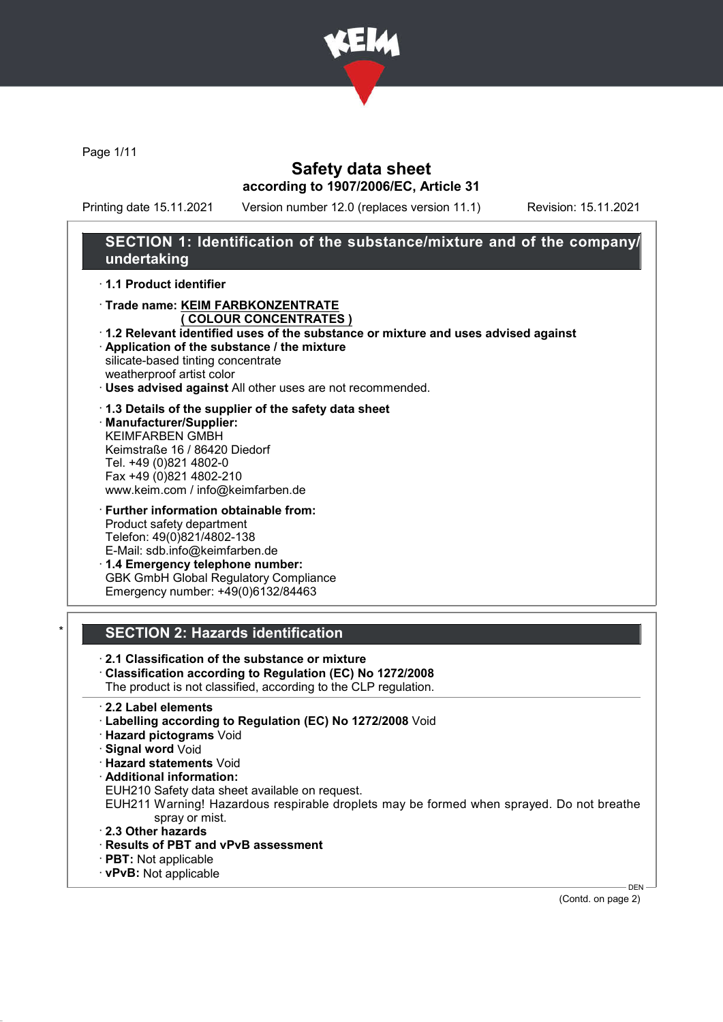

Page 1/11

## Safety data sheet according to 1907/2006/EC, Article 31

Printing date 15.11.2021 Version number 12.0 (replaces version 11.1) Revision: 15.11.2021

# SECTION 1: Identification of the substance/mixture and of the company/ undertaking

· 1.1 Product identifier

- · Trade name: KEIM FARBKONZENTRATE ( COLOUR CONCENTRATES )
- · 1.2 Relevant identified uses of the substance or mixture and uses advised against · Application of the substance / the mixture

silicate-based tinting concentrate weatherproof artist color

- · Uses advised against All other uses are not recommended.
- · 1.3 Details of the supplier of the safety data sheet · Manufacturer/Supplier:
- KEIMFARBEN GMBH Keimstraße 16 / 86420 Diedorf Tel. +49 (0)821 4802-0 Fax +49 (0)821 4802-210 www.keim.com / info@keimfarben.de
- · Further information obtainable from: Product safety department Telefon: 49(0)821/4802-138 E-Mail: sdb.info@keimfarben.de · 1.4 Emergency telephone number:

GBK GmbH Global Regulatory Compliance Emergency number: +49(0)6132/84463

# **SECTION 2: Hazards identification**

· 2.1 Classification of the substance or mixture

- · Classification according to Regulation (EC) No 1272/2008
- The product is not classified, according to the CLP regulation.
- · 2.2 Label elements
- · Labelling according to Regulation (EC) No 1272/2008 Void
- · Hazard pictograms Void
- · Signal word Void
- · Hazard statements Void
- · Additional information:
- EUH210 Safety data sheet available on request.

EUH211 Warning! Hazardous respirable droplets may be formed when sprayed. Do not breathe spray or mist.

- · 2.3 Other hazards
- · Results of PBT and vPvB assessment
- · PBT: Not applicable
- · vPvB: Not applicable

(Contd. on page 2)

DEN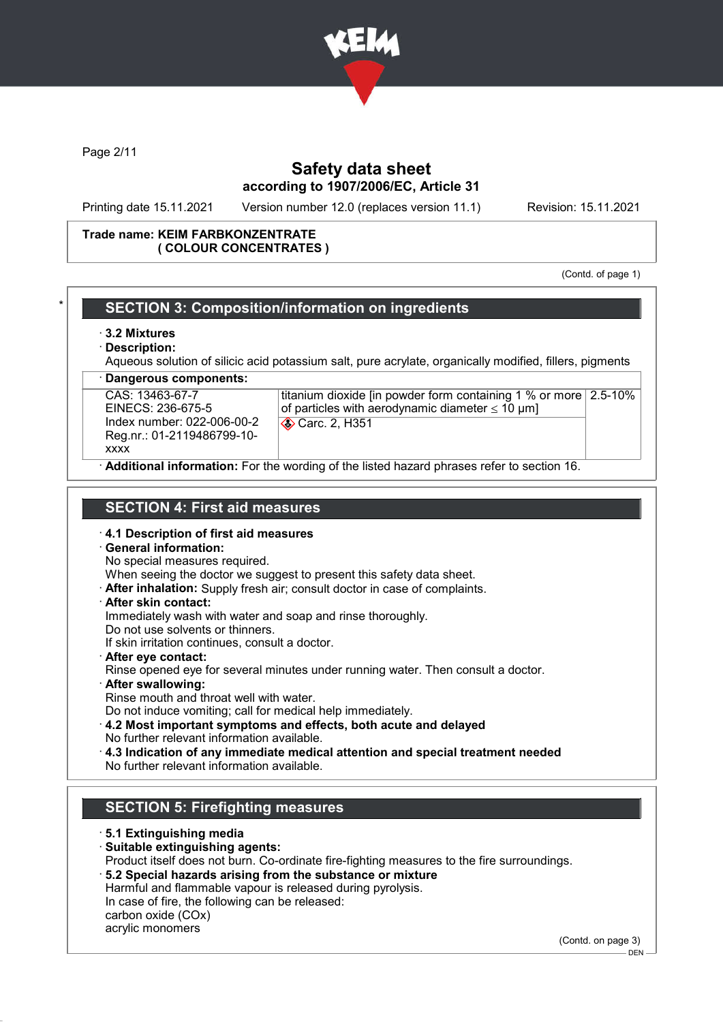

Page 2/11

## Safety data sheet according to 1907/2006/EC, Article 31

Printing date 15.11.2021 Version number 12.0 (replaces version 11.1) Revision: 15.11.2021

#### Trade name: KEIM FARBKONZENTRATE ( COLOUR CONCENTRATES )

(Contd. of page 1)

### SECTION 3: Composition/information on ingredients · 3.2 Mixtures Description: Aqueous solution of silicic acid potassium salt, pure acrylate, organically modified, fillers, pigments Dangerous components: CAS: 13463-67-7 EINECS: 236-675-5 Index number: 022-006-00-2 Reg.nr.: 01-2119486799-10 xxxx titanium dioxide [in powder form containing 1 % or more 2.5-10% of particles with aerodynamic diameter  $\leq 10 \mu m$ ] **Carc. 2, H351** Additional information: For the wording of the listed hazard phrases refer to section 16. SECTION 4: First aid measures · 4.1 Description of first aid measures · General information: No special measures required. When seeing the doctor we suggest to present this safety data sheet. · After inhalation: Supply fresh air; consult doctor in case of complaints. · After skin contact: Immediately wash with water and soap and rinse thoroughly. Do not use solvents or thinners. If skin irritation continues, consult a doctor. · After eye contact: Rinse opened eye for several minutes under running water. Then consult a doctor. · After swallowing: Rinse mouth and throat well with water. Do not induce vomiting; call for medical help immediately. · 4.2 Most important symptoms and effects, both acute and delayed No further relevant information available. · 4.3 Indication of any immediate medical attention and special treatment needed No further relevant information available. SECTION 5: Firefighting measures · 5.1 Extinguishing media · Suitable extinguishing agents: Product itself does not burn. Co-ordinate fire-fighting measures to the fire surroundings. · 5.2 Special hazards arising from the substance or mixture Harmful and flammable vapour is released during pyrolysis. In case of fire, the following can be released: carbon oxide (COx) acrylic monomers

(Contd. on page 3)

 $-$  DEN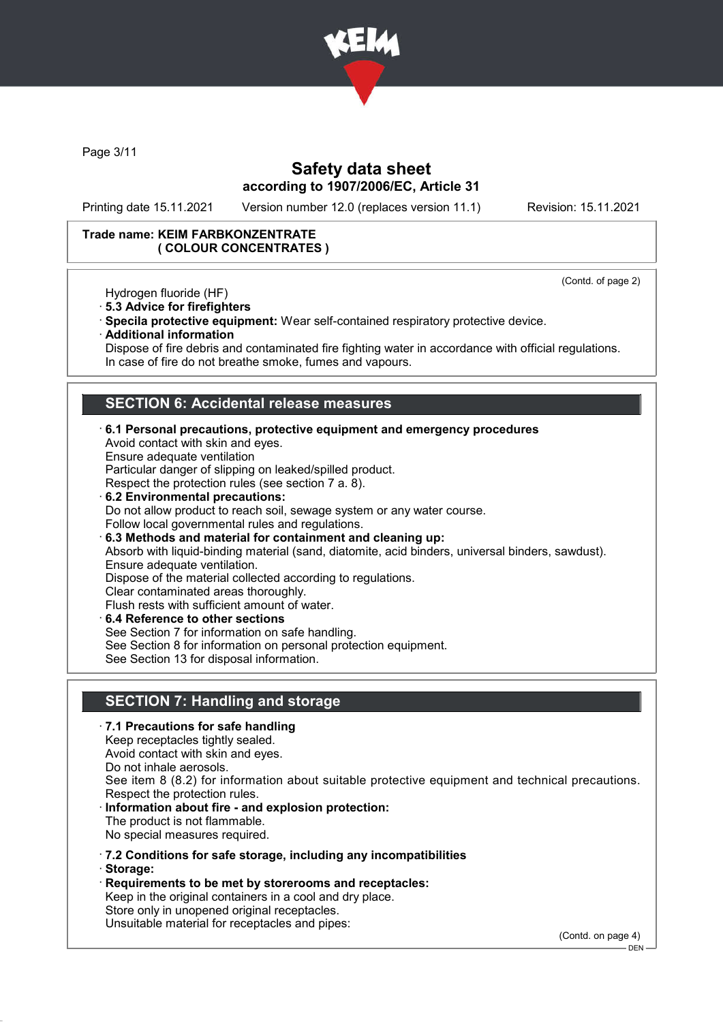

Page 3/11

## Safety data sheet according to 1907/2006/EC, Article 31

Printing date 15.11.2021 Version number 12.0 (replaces version 11.1) Revision: 15.11.2021

(Contd. of page 2)

### Trade name: KEIM FARBKONZENTRATE ( COLOUR CONCENTRATES )

Hydrogen fluoride (HF)

- · 5.3 Advice for firefighters
- · Specila protective equipment: Wear self-contained respiratory protective device.
- · Additional information

Dispose of fire debris and contaminated fire fighting water in accordance with official regulations. In case of fire do not breathe smoke, fumes and vapours.

## SECTION 6: Accidental release measures

- · 6.1 Personal precautions, protective equipment and emergency procedures Avoid contact with skin and eyes. Ensure adequate ventilation Particular danger of slipping on leaked/spilled product. Respect the protection rules (see section 7 a. 8). · 6.2 Environmental precautions: Do not allow product to reach soil, sewage system or any water course. Follow local governmental rules and regulations. · 6.3 Methods and material for containment and cleaning up: Absorb with liquid-binding material (sand, diatomite, acid binders, universal binders, sawdust). Ensure adequate ventilation. Dispose of the material collected according to regulations. Clear contaminated areas thoroughly. Flush rests with sufficient amount of water.
- · 6.4 Reference to other sections See Section 7 for information on safe handling. See Section 8 for information on personal protection equipment. See Section 13 for disposal information.

# SECTION 7: Handling and storage

- · 7.1 Precautions for safe handling Keep receptacles tightly sealed. Avoid contact with skin and eyes. Do not inhale aerosols. See item 8 (8.2) for information about suitable protective equipment and technical precautions. Respect the protection rules. Information about fire - and explosion protection: The product is not flammable. No special measures required. · 7.2 Conditions for safe storage, including any incompatibilities · Storage: · Requirements to be met by storerooms and receptacles:
- Keep in the original containers in a cool and dry place. Store only in unopened original receptacles. Unsuitable material for receptacles and pipes:

(Contd. on page 4)

 $-$  DEN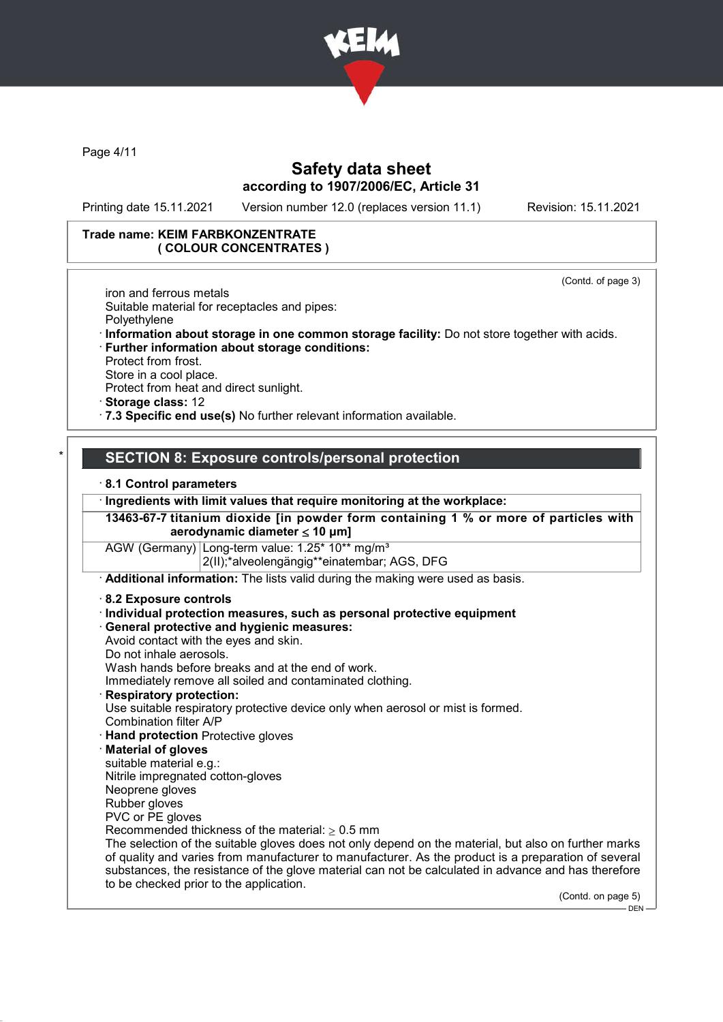

Page 4/11

## Safety data sheet according to 1907/2006/EC, Article 31

Printing date 15.11.2021 Version number 12.0 (replaces version 11.1) Revision: 15.11.2021

(Contd. of page 3)

### Trade name: KEIM FARBKONZENTRATE ( COLOUR CONCENTRATES )

iron and ferrous metals Suitable material for receptacles and pipes: Polyethylene

- · Information about storage in one common storage facility: Do not store together with acids.
- · Further information about storage conditions: Protect from frost.

Store in a cool place.

Protect from heat and direct sunlight.

· Storage class: 12

· 7.3 Specific end use(s) No further relevant information available.

## SECTION 8: Exposure controls/personal protection

#### · 8.1 Control parameters

· Ingredients with limit values that require monitoring at the workplace:

13463-67-7 titanium dioxide [in powder form containing 1 % or more of particles with aerodynamic diameter ≤ 10 μm]

AGW (Germany) Long-term value: 1.25\* 10\*\* mg/m<sup>3</sup> 2(II);\*alveolengängig\*\*einatembar; AGS, DFG

· Additional information: The lists valid during the making were used as basis.

- · 8.2 Exposure controls
- · Individual protection measures, such as personal protective equipment

### · General protective and hygienic measures:

Avoid contact with the eyes and skin.

- Do not inhale aerosols.
- Wash hands before breaks and at the end of work.

Immediately remove all soiled and contaminated clothing.

Respiratory protection:

Use suitable respiratory protective device only when aerosol or mist is formed. Combination filter A/P

- · Hand protection Protective gloves
- **Material of gloves**
- suitable material e.g.:

Nitrile impregnated cotton-gloves

Neoprene gloves Rubber gloves

PVC or PE gloves

Recommended thickness of the material:  $\geq 0.5$  mm

The selection of the suitable gloves does not only depend on the material, but also on further marks of quality and varies from manufacturer to manufacturer. As the product is a preparation of several substances, the resistance of the glove material can not be calculated in advance and has therefore to be checked prior to the application.

(Contd. on page 5)

DEN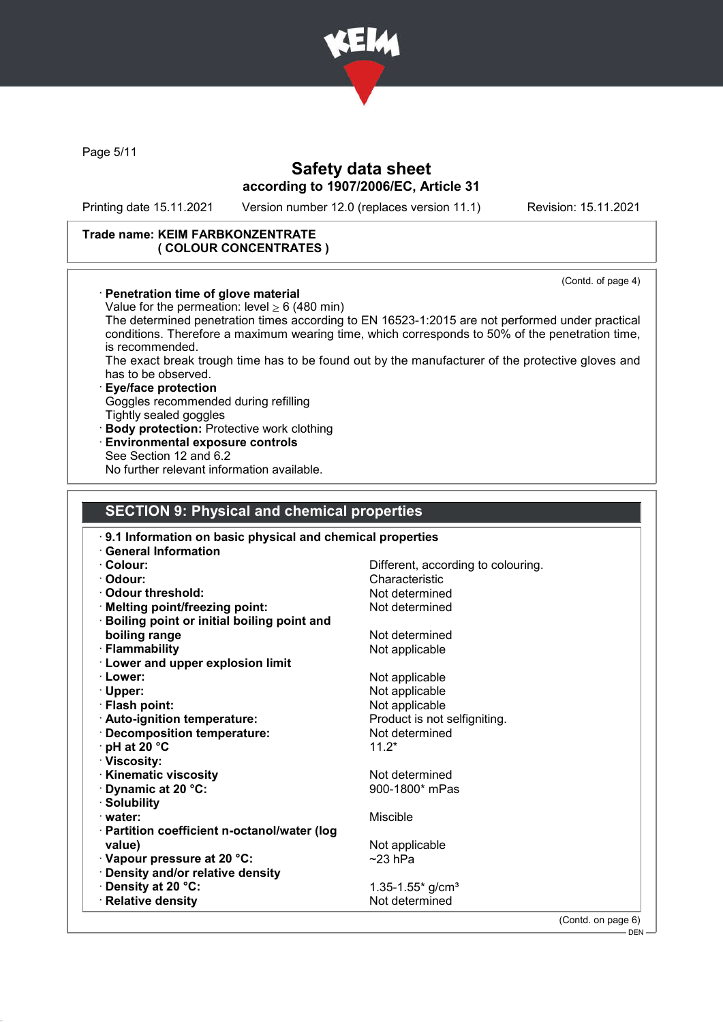

Page 5/11

## Safety data sheet according to 1907/2006/EC, Article 31

Printing date 15.11.2021 Version number 12.0 (replaces version 11.1) Revision: 15.11.2021

#### Trade name: KEIM FARBKONZENTRATE ( COLOUR CONCENTRATES )

(Contd. of page 4) · Penetration time of glove material Value for the permeation: level  $> 6$  (480 min) The determined penetration times according to EN 16523-1:2015 are not performed under practical conditions. Therefore a maximum wearing time, which corresponds to 50% of the penetration time, is recommended. The exact break trough time has to be found out by the manufacturer of the protective gloves and has to be observed. · Eye/face protection Goggles recommended during refilling Tightly sealed goggles · Body protection: Protective work clothing Environmental exposure controls See Section 12 and 6.2 No further relevant information available. SECTION 9: Physical and chemical properties · 9.1 Information on basic physical and chemical properties · General Information · Colour: Different, according to colouring. · Odour: Characteristic · Odour threshold: <br>· Melting point/freezing point: Not determined  $\cdot$  Melting point/freezing point: · Boiling point or initial boiling point and boiling range Not determined · Flammability **Not** applicable · Lower and upper explosion limit • Lower: Not applicable · Upper: Not applicable Not applicable · Auto-ignition temperature: Product is not selfigniting. · Decomposition temperature: Not determined  $\cdot$  pH at 20 °C 11.2\* · Viscosity: • **Kinematic viscosity**<br>• **Dynamic at 20 °C:** 900-1800<sup>\*</sup> mPas  $\cdot$  Dynamic at 20  $\degree$ C: · Solubility · water: Miscible · Partition coefficient n-octanol/water (log value) value value value value value value value value value value value value value value value value value v  $\sim$  Vapour pressure at 20  $\degree$ C:  $\sim$  23 hPa · Density and/or relative density <sup>2</sup> Density at 20 °C: 1.35-1.55\* g/cm<sup>3</sup><br> **Relative density**<br>
Relative density  $\cdot$  Relative density (Contd. on page 6)

 $-$  DEN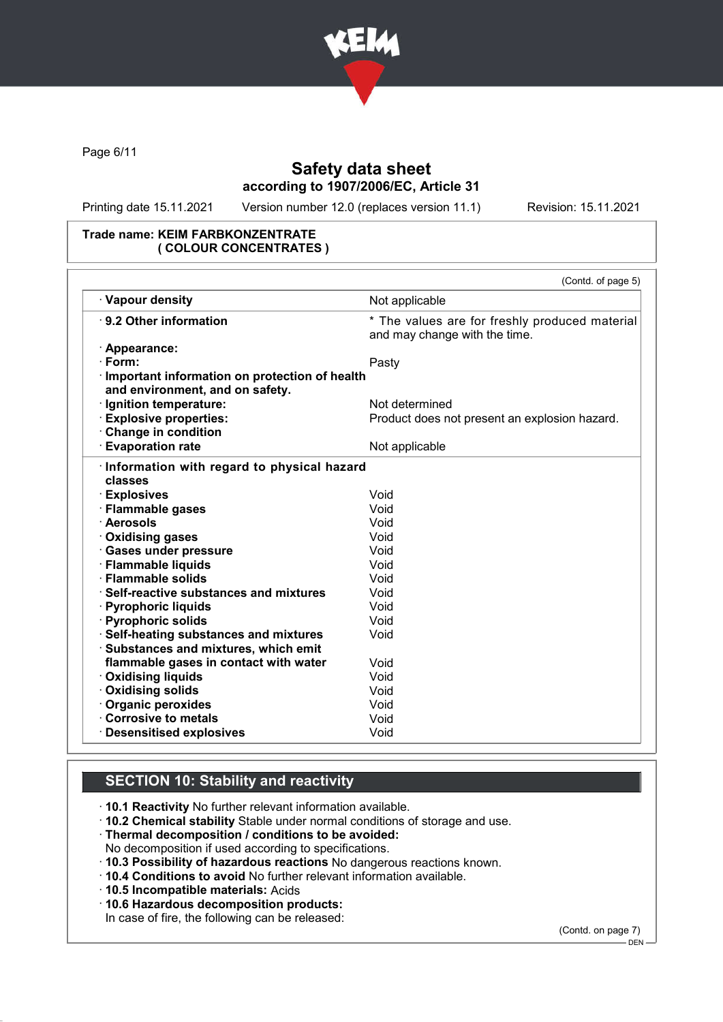

Page 6/11

# Safety data sheet according to 1907/2006/EC, Article 31

Printing date 15.11.2021 Version number 12.0 (replaces version 11.1) Revision: 15.11.2021

### Trade name: KEIM FARBKONZENTRATE ( COLOUR CONCENTRATES )

|                                                                                    | (Contd. of page 5)                                                              |
|------------------------------------------------------------------------------------|---------------------------------------------------------------------------------|
| · Vapour density                                                                   | Not applicable                                                                  |
| ⋅ 9.2 Other information                                                            | * The values are for freshly produced material<br>and may change with the time. |
| · Appearance:                                                                      |                                                                                 |
| $\cdot$ Form:                                                                      | Pasty                                                                           |
| · Important information on protection of health<br>and environment, and on safety. |                                                                                 |
| Ignition temperature:                                                              | Not determined                                                                  |
| · Explosive properties:                                                            | Product does not present an explosion hazard.                                   |
| Change in condition                                                                |                                                                                 |
| · Evaporation rate                                                                 | Not applicable                                                                  |
| · Information with regard to physical hazard<br>classes                            |                                                                                 |
| <b>Explosives</b>                                                                  | Void                                                                            |
| · Flammable gases                                                                  | Void                                                                            |
| · Aerosols                                                                         | Void                                                                            |
| · Oxidising gases                                                                  | Void                                                                            |
| · Gases under pressure                                                             | Void                                                                            |
| · Flammable liquids                                                                | Void                                                                            |
| · Flammable solids                                                                 | Void                                                                            |
| ⋅ Self-reactive substances and mixtures                                            | Void                                                                            |
| · Pyrophoric liquids                                                               | Void                                                                            |
| · Pyrophoric solids                                                                | Void                                                                            |
| · Self-heating substances and mixtures                                             | Void                                                                            |
| Substances and mixtures, which emit                                                |                                                                                 |
| flammable gases in contact with water                                              | Void                                                                            |
| · Oxidising liquids                                                                | Void                                                                            |
| · Oxidising solids                                                                 | Void                                                                            |
| · Organic peroxides                                                                | Void                                                                            |
| Corrosive to metals                                                                | Void                                                                            |
| · Desensitised explosives                                                          | Void                                                                            |

## SECTION 10: Stability and reactivity

- · 10.1 Reactivity No further relevant information available.
- · 10.2 Chemical stability Stable under normal conditions of storage and use.
- · Thermal decomposition / conditions to be avoided:
- No decomposition if used according to specifications.
- · 10.3 Possibility of hazardous reactions No dangerous reactions known.
- · 10.4 Conditions to avoid No further relevant information available.
- · 10.5 Incompatible materials: Acids
- · 10.6 Hazardous decomposition products:

In case of fire, the following can be released:

(Contd. on page 7)

DEN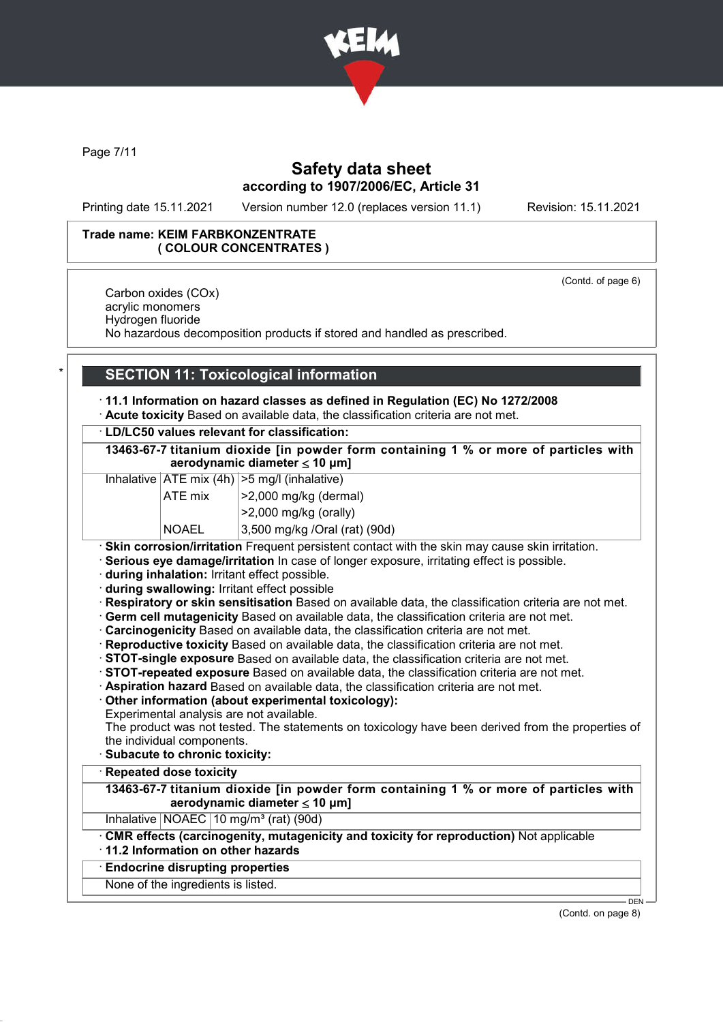

Page 7/11

## Safety data sheet according to 1907/2006/EC, Article 31

Printing date 15.11.2021 Version number 12.0 (replaces version 11.1) Revision: 15.11.2021

### Trade name: KEIM FARBKONZENTRATE ( COLOUR CONCENTRATES )

(Contd. of page 6)

Carbon oxides (COx) acrylic monomers Hydrogen fluoride No hazardous decomposition products if stored and handled as prescribed.

# **SECTION 11: Toxicological information**

· 11.1 Information on hazard classes as defined in Regulation (EC) No 1272/2008 · Acute toxicity Based on available data, the classification criteria are not met.

### · LD/LC50 values relevant for classification:

13463-67-7 titanium dioxide [in powder form containing 1 % or more of particles with aerodynamic diameter ≤ 10 μm]

Inhalative  $ATE$  mix  $(4h)$   $>5$  mg/l (inhalative)

| ATE mix      | $ >2,000$ mg/kg (dermal)        |
|--------------|---------------------------------|
|              | $ >2,000$ mg/kg (orally)        |
| <b>NOAEL</b> | $3,500$ mg/kg /Oral (rat) (90d) |

· Skin corrosion/irritation Frequent persistent contact with the skin may cause skin irritation.

· Serious eye damage/irritation In case of longer exposure, irritating effect is possible.

· during inhalation: Irritant effect possible.

· during swallowing: Irritant effect possible

· Respiratory or skin sensitisation Based on available data, the classification criteria are not met.

· Germ cell mutagenicity Based on available data, the classification criteria are not met.

- · Carcinogenicity Based on available data, the classification criteria are not met.
- · Reproductive toxicity Based on available data, the classification criteria are not met.
- · STOT-single exposure Based on available data, the classification criteria are not met.
- · STOT-repeated exposure Based on available data, the classification criteria are not met.

· Aspiration hazard Based on available data, the classification criteria are not met.

· Other information (about experimental toxicology):

Experimental analysis are not available.

The product was not tested. The statements on toxicology have been derived from the properties of the individual components.

- · Subacute to chronic toxicity:
- **Repeated dose toxicity**

13463-67-7 titanium dioxide [in powder form containing 1 % or more of particles with aerodynamic diameter ≤ 10 μm]

Inhalative  $NOAEC$  10 mg/m<sup>3</sup> (rat) (90d)

CMR effects (carcinogenity, mutagenicity and toxicity for reproduction) Not applicable · 11.2 Information on other hazards

# · Endocrine disrupting properties

None of the ingredients is listed.

(Contd. on page 8)

DEN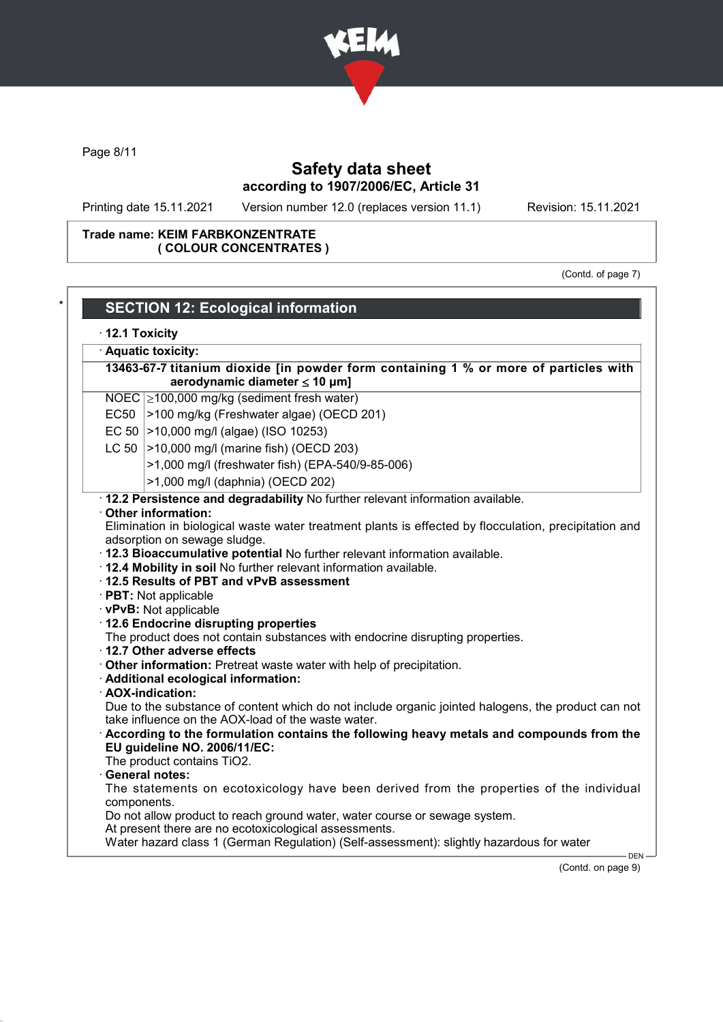

Page 8/11

# Safety data sheet according to 1907/2006/EC, Article 31

Printing date 15.11.2021 Version number 12.0 (replaces version 11.1) Revision: 15.11.2021

### Trade name: KEIM FARBKONZENTRATE ( COLOUR CONCENTRATES )

(Contd. of page 7)

|             | $\cdot$ 12.1 Toxicity                                                                                                                                                                                                                                                                                                                                                  |
|-------------|------------------------------------------------------------------------------------------------------------------------------------------------------------------------------------------------------------------------------------------------------------------------------------------------------------------------------------------------------------------------|
|             | · Aquatic toxicity:                                                                                                                                                                                                                                                                                                                                                    |
|             | 13463-67-7 titanium dioxide [in powder form containing 1 % or more of particles with<br>aerodynamic diameter $\leq$ 10 µm]                                                                                                                                                                                                                                             |
|             |                                                                                                                                                                                                                                                                                                                                                                        |
|             | NOEC $\geq$ 100,000 mg/kg (sediment fresh water)                                                                                                                                                                                                                                                                                                                       |
|             | EC50 >100 mg/kg (Freshwater algae) (OECD 201)                                                                                                                                                                                                                                                                                                                          |
|             | EC 50   > 10,000 mg/l (algae) (ISO 10253)                                                                                                                                                                                                                                                                                                                              |
|             | LC 50   > 10,000 mg/l (marine fish) (OECD 203)                                                                                                                                                                                                                                                                                                                         |
|             | >1,000 mg/l (freshwater fish) (EPA-540/9-85-006)                                                                                                                                                                                                                                                                                                                       |
|             | >1,000 mg/l (daphnia) (OECD 202)                                                                                                                                                                                                                                                                                                                                       |
|             | · 12.2 Persistence and degradability No further relevant information available.                                                                                                                                                                                                                                                                                        |
|             | Other information:                                                                                                                                                                                                                                                                                                                                                     |
|             | Elimination in biological waste water treatment plants is effected by flocculation, precipitation and                                                                                                                                                                                                                                                                  |
|             | adsorption on sewage sludge.                                                                                                                                                                                                                                                                                                                                           |
|             | · 12.3 Bioaccumulative potential No further relevant information available.                                                                                                                                                                                                                                                                                            |
|             | . 12.4 Mobility in soil No further relevant information available.                                                                                                                                                                                                                                                                                                     |
|             | 12.5 Results of PBT and vPvB assessment                                                                                                                                                                                                                                                                                                                                |
|             |                                                                                                                                                                                                                                                                                                                                                                        |
|             | · PBT: Not applicable                                                                                                                                                                                                                                                                                                                                                  |
|             | · vPvB: Not applicable                                                                                                                                                                                                                                                                                                                                                 |
|             | · 12.6 Endocrine disrupting properties                                                                                                                                                                                                                                                                                                                                 |
|             | The product does not contain substances with endocrine disrupting properties.                                                                                                                                                                                                                                                                                          |
|             | 12.7 Other adverse effects                                                                                                                                                                                                                                                                                                                                             |
|             | Other information: Pretreat waste water with help of precipitation.                                                                                                                                                                                                                                                                                                    |
|             | · Additional ecological information:                                                                                                                                                                                                                                                                                                                                   |
|             | · AOX-indication:                                                                                                                                                                                                                                                                                                                                                      |
|             |                                                                                                                                                                                                                                                                                                                                                                        |
|             | take influence on the AOX-load of the waste water.                                                                                                                                                                                                                                                                                                                     |
|             |                                                                                                                                                                                                                                                                                                                                                                        |
|             | EU guideline NO. 2006/11/EC:                                                                                                                                                                                                                                                                                                                                           |
|             | The product contains TiO2.<br><b>General notes:</b>                                                                                                                                                                                                                                                                                                                    |
|             |                                                                                                                                                                                                                                                                                                                                                                        |
| components. |                                                                                                                                                                                                                                                                                                                                                                        |
|             | Due to the substance of content which do not include organic jointed halogens, the product can not<br>According to the formulation contains the following heavy metals and compounds from the<br>The statements on ecotoxicology have been derived from the properties of the individual<br>Do not allow product to reach ground water, water course or sewage system. |
|             | At present there are no ecotoxicological assessments.<br>Water hazard class 1 (German Regulation) (Self-assessment): slightly hazardous for water                                                                                                                                                                                                                      |

(Contd. on page 9)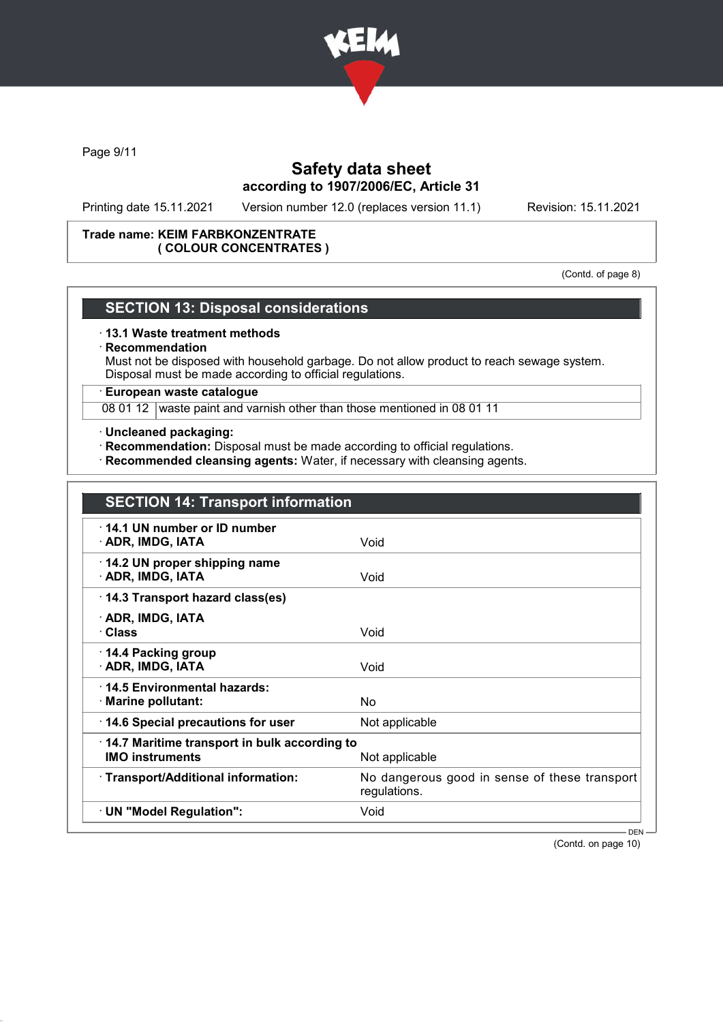

Page 9/11

# Safety data sheet according to 1907/2006/EC, Article 31

Printing date 15.11.2021 Version number 12.0 (replaces version 11.1) Revision: 15.11.2021

#### Trade name: KEIM FARBKONZENTRATE ( COLOUR CONCENTRATES )

(Contd. of page 8)

### SECTION 13: Disposal considerations

#### · 13.1 Waste treatment methods

#### **Recommendation**

Must not be disposed with household garbage. Do not allow product to reach sewage system. Disposal must be made according to official regulations.

### · European waste catalogue

08 01 12 waste paint and varnish other than those mentioned in 08 01 11

#### · Uncleaned packaging:

- · Recommendation: Disposal must be made according to official regulations.
- · Recommended cleansing agents: Water, if necessary with cleansing agents.

| <b>SECTION 14: Transport information</b>                                                         |                                                               |
|--------------------------------------------------------------------------------------------------|---------------------------------------------------------------|
| 14.1 UN number or ID number<br>· ADR, IMDG, IATA                                                 | Void                                                          |
| 14.2 UN proper shipping name<br>· ADR, IMDG, IATA                                                | Void                                                          |
| 14.3 Transport hazard class(es)                                                                  |                                                               |
| · ADR, IMDG, IATA<br>· Class                                                                     | Void                                                          |
| 14.4 Packing group<br>· ADR, IMDG, IATA                                                          | Void                                                          |
| 14.5 Environmental hazards:<br>· Marine pollutant:                                               | <b>No</b>                                                     |
| 14.6 Special precautions for user                                                                | Not applicable                                                |
| $\cdot$ 14.7 Maritime transport in bulk according to<br><b>IMO instruments</b><br>Not applicable |                                                               |
| · Transport/Additional information:                                                              | No dangerous good in sense of these transport<br>regulations. |
| · UN "Model Regulation":                                                                         | Void                                                          |
|                                                                                                  | $DEN -$                                                       |

(Contd. on page 10)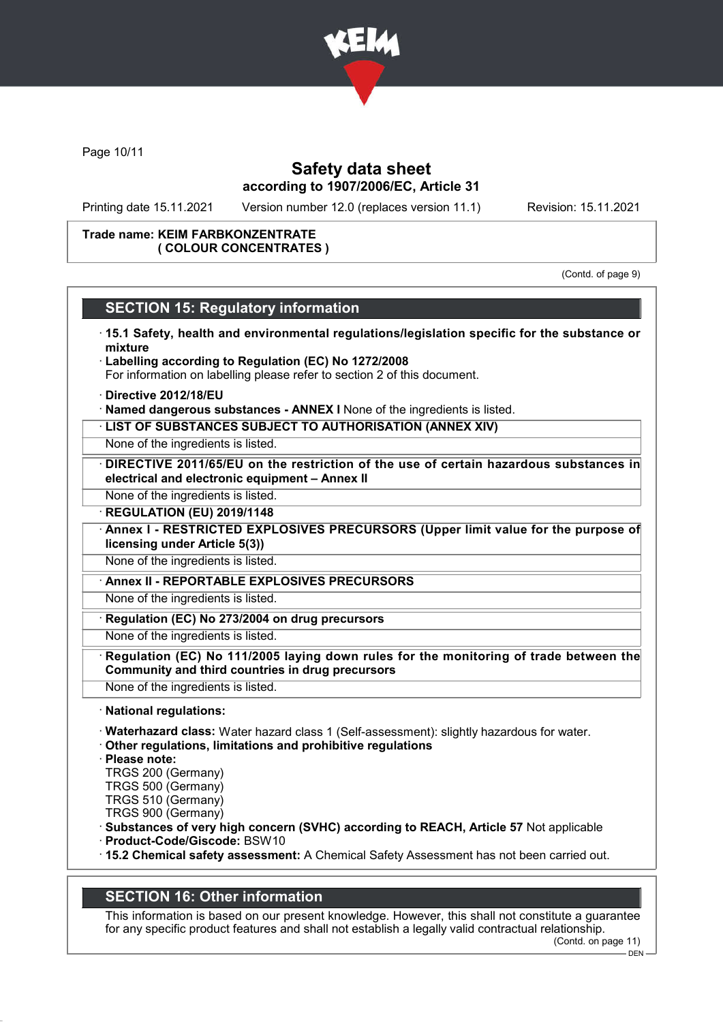

Page 10/11

## Safety data sheet according to 1907/2006/EC, Article 31

Printing date 15.11.2021 Version number 12.0 (replaces version 11.1) Revision: 15.11.2021

#### Trade name: KEIM FARBKONZENTRATE ( COLOUR CONCENTRATES )

(Contd. of page 9)

## SECTION 15: Regulatory information

- · 15.1 Safety, health and environmental regulations/legislation specific for the substance or mixture
- · Labelling according to Regulation (EC) No 1272/2008 For information on labelling please refer to section 2 of this document.
- · Directive 2012/18/EU
- · Named dangerous substances ANNEX I None of the ingredients is listed.
- · LIST OF SUBSTANCES SUBJECT TO AUTHORISATION (ANNEX XIV)
- None of the ingredients is listed.
- · DIRECTIVE 2011/65/EU on the restriction of the use of certain hazardous substances in electrical and electronic equipment – Annex II
- None of the ingredients is listed.
- **REGULATION (EU) 2019/1148**
- · Annex I RESTRICTED EXPLOSIVES PRECURSORS (Upper limit value for the purpose of licensing under Article 5(3))
- None of the ingredients is listed.
- Annex II REPORTABLE EXPLOSIVES PRECURSORS
- None of the ingredients is listed.
- Regulation (EC) No 273/2004 on drug precursors
- None of the ingredients is listed.
- Regulation (EC) No 111/2005 laying down rules for the monitoring of trade between the Community and third countries in drug precursors
- None of the ingredients is listed.
- · National regulations:
- · Waterhazard class: Water hazard class 1 (Self-assessment): slightly hazardous for water.
- · Other regulations, limitations and prohibitive regulations
- · Please note:
- TRGS 200 (Germany)
- TRGS 500 (Germany)
- TRGS 510 (Germany)
- TRGS 900 (Germany)
- · Substances of very high concern (SVHC) according to REACH, Article 57 Not applicable
- · Product-Code/Giscode: BSW10
- · 15.2 Chemical safety assessment: A Chemical Safety Assessment has not been carried out.

# SECTION 16: Other information

This information is based on our present knowledge. However, this shall not constitute a guarantee for any specific product features and shall not establish a legally valid contractual relationship. (Contd. on page 11)

 $-$  DEN